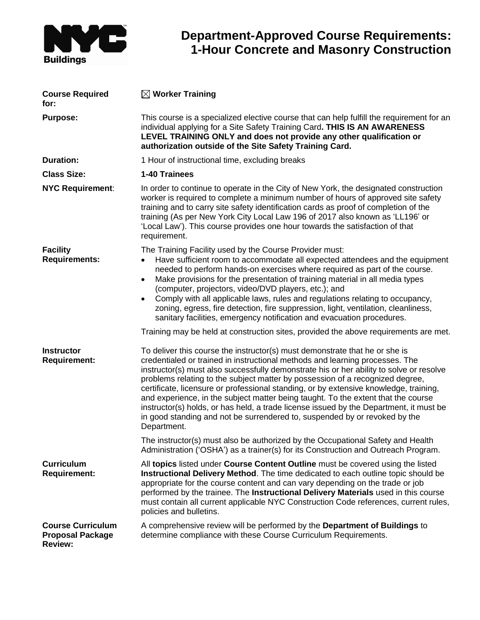

## **Department-Approved Course Requirements: 1-Hour Concrete and Masonry Construction**

| <b>Course Required</b><br>for:                                        | $\boxtimes$ Worker Training                                                                                                                                                                                                                                                                                                                                                                                                                                                                                                                                                                                                                                                                                  |  |
|-----------------------------------------------------------------------|--------------------------------------------------------------------------------------------------------------------------------------------------------------------------------------------------------------------------------------------------------------------------------------------------------------------------------------------------------------------------------------------------------------------------------------------------------------------------------------------------------------------------------------------------------------------------------------------------------------------------------------------------------------------------------------------------------------|--|
| <b>Purpose:</b>                                                       | This course is a specialized elective course that can help fulfill the requirement for an<br>individual applying for a Site Safety Training Card. THIS IS AN AWARENESS<br>LEVEL TRAINING ONLY and does not provide any other qualification or<br>authorization outside of the Site Safety Training Card.                                                                                                                                                                                                                                                                                                                                                                                                     |  |
| <b>Duration:</b>                                                      | 1 Hour of instructional time, excluding breaks                                                                                                                                                                                                                                                                                                                                                                                                                                                                                                                                                                                                                                                               |  |
| <b>Class Size:</b>                                                    | 1-40 Trainees                                                                                                                                                                                                                                                                                                                                                                                                                                                                                                                                                                                                                                                                                                |  |
| <b>NYC Requirement:</b>                                               | In order to continue to operate in the City of New York, the designated construction<br>worker is required to complete a minimum number of hours of approved site safety<br>training and to carry site safety identification cards as proof of completion of the<br>training (As per New York City Local Law 196 of 2017 also known as 'LL196' or<br>'Local Law'). This course provides one hour towards the satisfaction of that<br>requirement.                                                                                                                                                                                                                                                            |  |
| <b>Facility</b><br><b>Requirements:</b>                               | The Training Facility used by the Course Provider must:<br>Have sufficient room to accommodate all expected attendees and the equipment<br>$\bullet$<br>needed to perform hands-on exercises where required as part of the course.<br>Make provisions for the presentation of training material in all media types<br>$\bullet$<br>(computer, projectors, video/DVD players, etc.); and<br>Comply with all applicable laws, rules and regulations relating to occupancy,<br>$\bullet$<br>zoning, egress, fire detection, fire suppression, light, ventilation, cleanliness,<br>sanitary facilities, emergency notification and evacuation procedures.                                                        |  |
|                                                                       | Training may be held at construction sites, provided the above requirements are met.                                                                                                                                                                                                                                                                                                                                                                                                                                                                                                                                                                                                                         |  |
| <b>Instructor</b><br><b>Requirement:</b>                              | To deliver this course the instructor(s) must demonstrate that he or she is<br>credentialed or trained in instructional methods and learning processes. The<br>instructor(s) must also successfully demonstrate his or her ability to solve or resolve<br>problems relating to the subject matter by possession of a recognized degree,<br>certificate, licensure or professional standing, or by extensive knowledge, training,<br>and experience, in the subject matter being taught. To the extent that the course<br>instructor(s) holds, or has held, a trade license issued by the Department, it must be<br>in good standing and not be surrendered to, suspended by or revoked by the<br>Department. |  |
|                                                                       | The instructor(s) must also be authorized by the Occupational Safety and Health<br>Administration ('OSHA') as a trainer(s) for its Construction and Outreach Program.                                                                                                                                                                                                                                                                                                                                                                                                                                                                                                                                        |  |
| <b>Curriculum</b><br><b>Requirement:</b>                              | All topics listed under Course Content Outline must be covered using the listed<br>Instructional Delivery Method. The time dedicated to each outline topic should be<br>appropriate for the course content and can vary depending on the trade or job<br>performed by the trainee. The Instructional Delivery Materials used in this course<br>must contain all current applicable NYC Construction Code references, current rules,<br>policies and bulletins.                                                                                                                                                                                                                                               |  |
| <b>Course Curriculum</b><br><b>Proposal Package</b><br><b>Review:</b> | A comprehensive review will be performed by the Department of Buildings to<br>determine compliance with these Course Curriculum Requirements.                                                                                                                                                                                                                                                                                                                                                                                                                                                                                                                                                                |  |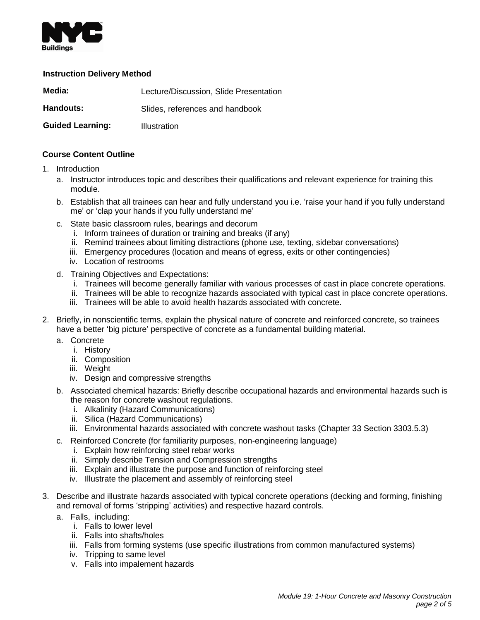

## **Instruction Delivery Method**

| Media:                  | Lecture/Discussion, Slide Presentation |
|-------------------------|----------------------------------------|
| <b>Handouts:</b>        | Slides, references and handbook        |
| <b>Guided Learning:</b> | Illustration                           |

## **Course Content Outline**

- 1. Introduction
	- a. Instructor introduces topic and describes their qualifications and relevant experience for training this module.
	- b. Establish that all trainees can hear and fully understand you i.e. 'raise your hand if you fully understand me' or 'clap your hands if you fully understand me'
	- c. State basic classroom rules, bearings and decorum
		- i. Inform trainees of duration or training and breaks (if any)
		- ii. Remind trainees about limiting distractions (phone use, texting, sidebar conversations)
		- iii. Emergency procedures (location and means of egress, exits or other contingencies)
		- iv. Location of restrooms
	- d. Training Objectives and Expectations:
		- i. Trainees will become generally familiar with various processes of cast in place concrete operations.
		- ii. Trainees will be able to recognize hazards associated with typical cast in place concrete operations.
		- iii. Trainees will be able to avoid health hazards associated with concrete.
- 2. Briefly, in nonscientific terms, explain the physical nature of concrete and reinforced concrete, so trainees have a better 'big picture' perspective of concrete as a fundamental building material.
	- a. Concrete
		- i. History
			- ii. Composition
		- iii. Weight
		- iv. Design and compressive strengths
	- b. Associated chemical hazards: Briefly describe occupational hazards and environmental hazards such is the reason for concrete washout regulations.
		- i. Alkalinity (Hazard Communications)
		- ii. Silica (Hazard Communications)
		- iii. Environmental hazards associated with concrete washout tasks (Chapter 33 Section 3303.5.3)
	- c. Reinforced Concrete (for familiarity purposes, non-engineering language)
		- i. Explain how reinforcing steel rebar works
		- ii. Simply describe Tension and Compression strengths
		- iii. Explain and illustrate the purpose and function of reinforcing steel
		- iv. Illustrate the placement and assembly of reinforcing steel
- 3. Describe and illustrate hazards associated with typical concrete operations (decking and forming, finishing and removal of forms 'stripping' activities) and respective hazard controls.
	- a. Falls, including:
		- i. Falls to lower level
		- ii. Falls into shafts/holes
		- iii. Falls from forming systems (use specific illustrations from common manufactured systems)
		- iv. Tripping to same level
		- v. Falls into impalement hazards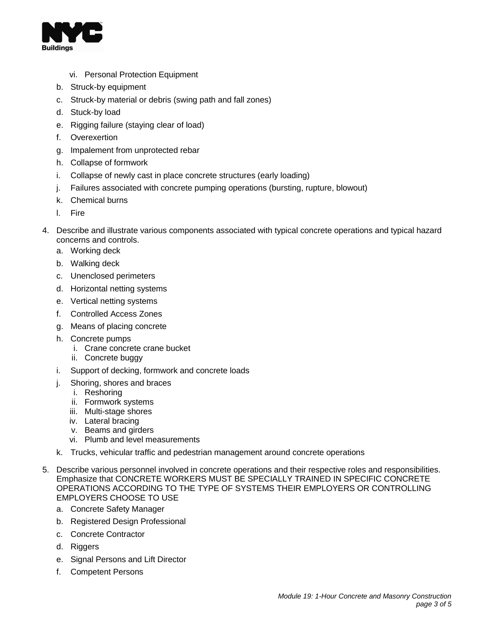

- vi. Personal Protection Equipment
- b. Struck-by equipment
- c. Struck-by material or debris (swing path and fall zones)
- d. Stuck-by load
- e. Rigging failure (staying clear of load)
- f. Overexertion
- g. Impalement from unprotected rebar
- h. Collapse of formwork
- i. Collapse of newly cast in place concrete structures (early loading)
- j. Failures associated with concrete pumping operations (bursting, rupture, blowout)
- k. Chemical burns
- l. Fire
- 4. Describe and illustrate various components associated with typical concrete operations and typical hazard concerns and controls.
	- a. Working deck
	- b. Walking deck
	- c. Unenclosed perimeters
	- d. Horizontal netting systems
	- e. Vertical netting systems
	- f. Controlled Access Zones
	- g. Means of placing concrete
	- h. Concrete pumps
		- i. Crane concrete crane bucket
		- ii. Concrete buggy
	- i. Support of decking, formwork and concrete loads
	- j. Shoring, shores and braces
		- i. Reshoring
		- ii. Formwork systems
		- iii. Multi-stage shores
		- iv. Lateral bracing
		- v. Beams and girders
		- vi. Plumb and level measurements
	- k. Trucks, vehicular traffic and pedestrian management around concrete operations
- 5. Describe various personnel involved in concrete operations and their respective roles and responsibilities. Emphasize that CONCRETE WORKERS MUST BE SPECIALLY TRAINED IN SPECIFIC CONCRETE OPERATIONS ACCORDING TO THE TYPE OF SYSTEMS THEIR EMPLOYERS OR CONTROLLING EMPLOYERS CHOOSE TO USE
	- a. Concrete Safety Manager
	- b. Registered Design Professional
	- c. Concrete Contractor
	- d. Riggers
	- e. Signal Persons and Lift Director
	- f. Competent Persons